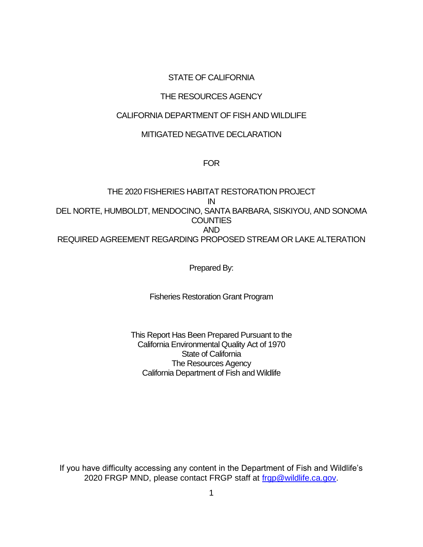## STATE OF CALIFORNIA

# THE RESOURCES AGENCY

## CALIFORNIA DEPARTMENT OF FISH AND WILDLIFE

## MITIGATED NEGATIVE DECLARATION

#### FOR

# THE 2020 FISHERIES HABITAT RESTORATION PROJECT IN DEL NORTE, HUMBOLDT, MENDOCINO, SANTA BARBARA, SISKIYOU, AND SONOMA **COUNTIES** AND REQUIRED AGREEMENT REGARDING PROPOSED STREAM OR LAKE ALTERATION

Prepared By:

Fisheries Restoration Grant Program

This Report Has Been Prepared Pursuant to the California Environmental Quality Act of 1970 State of California The Resources Agency California Department of Fish and Wildlife

If you have difficulty accessing any content in the Department of Fish and Wildlife's 2020 FRGP MND, please contact FRGP staff at [frgp@wildlife.ca.gov.](mailto:frgp@wildlife.ca.gov)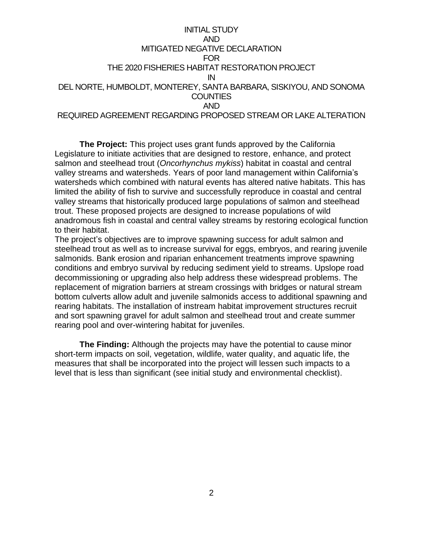## INITIAL STUDY AND MITIGATED NEGATIVE DECLARATION FOR THE 2020 FISHERIES HABITAT RESTORATION PROJECT IN DEL NORTE, HUMBOLDT, MONTEREY, SANTA BARBARA, SISKIYOU, AND SONOMA **COUNTIES** AND REQUIRED AGREEMENT REGARDING PROPOSED STREAM OR LAKE ALTERATION

**The Project:** This project uses grant funds approved by the California Legislature to initiate activities that are designed to restore, enhance, and protect salmon and steelhead trout (*Oncorhynchus mykiss*) habitat in coastal and central valley streams and watersheds. Years of poor land management within California's watersheds which combined with natural events has altered native habitats. This has limited the ability of fish to survive and successfully reproduce in coastal and central valley streams that historically produced large populations of salmon and steelhead trout. These proposed projects are designed to increase populations of wild anadromous fish in coastal and central valley streams by restoring ecological function to their habitat.

The project's objectives are to improve spawning success for adult salmon and steelhead trout as well as to increase survival for eggs, embryos, and rearing juvenile salmonids. Bank erosion and riparian enhancement treatments improve spawning conditions and embryo survival by reducing sediment yield to streams. Upslope road decommissioning or upgrading also help address these widespread problems. The replacement of migration barriers at stream crossings with bridges or natural stream bottom culverts allow adult and juvenile salmonids access to additional spawning and rearing habitats. The installation of instream habitat improvement structures recruit and sort spawning gravel for adult salmon and steelhead trout and create summer rearing pool and over-wintering habitat for juveniles.

**The Finding:** Although the projects may have the potential to cause minor short-term impacts on soil, vegetation, wildlife, water quality, and aquatic life, the measures that shall be incorporated into the project will lessen such impacts to a level that is less than significant (see initial study and environmental checklist).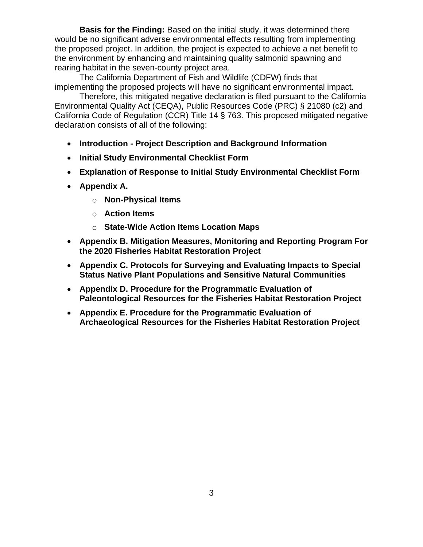**Basis for the Finding:** Based on the initial study, it was determined there would be no significant adverse environmental effects resulting from implementing the proposed project. In addition, the project is expected to achieve a net benefit to the environment by enhancing and maintaining quality salmonid spawning and rearing habitat in the seven-county project area.

The California Department of Fish and Wildlife (CDFW) finds that implementing the proposed projects will have no significant environmental impact.

Therefore, this mitigated negative declaration is filed pursuant to the California Environmental Quality Act (CEQA), Public Resources Code (PRC) § 21080 (c2) and California Code of Regulation (CCR) Title 14 § 763. This proposed mitigated negative declaration consists of all of the following:

- **Introduction - Project Description and Background Information**
- **Initial Study Environmental Checklist Form**
- **Explanation of Response to Initial Study Environmental Checklist Form**
- **Appendix A.**
	- o **Non-Physical Items**
	- o **Action Items**
	- o **State-Wide Action Items Location Maps**
- **Appendix B. Mitigation Measures, Monitoring and Reporting Program For the 2020 Fisheries Habitat Restoration Project**
- **Appendix C. Protocols for Surveying and Evaluating Impacts to Special Status Native Plant Populations and Sensitive Natural Communities**
- **Appendix D. Procedure for the Programmatic Evaluation of Paleontological Resources for the Fisheries Habitat Restoration Project**
- **Appendix E. Procedure for the Programmatic Evaluation of Archaeological Resources for the Fisheries Habitat Restoration Project**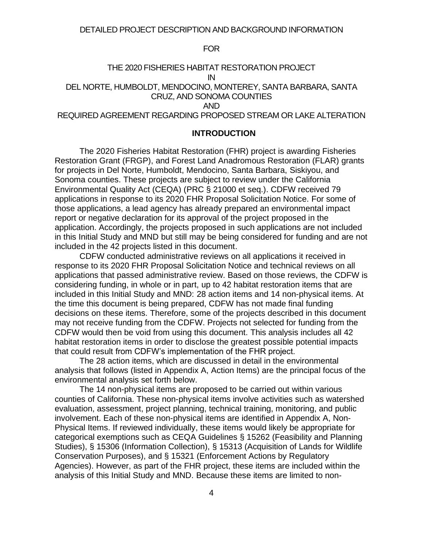#### FOR

# THE 2020 FISHERIES HABITAT RESTORATION PROJECT IN DEL NORTE, HUMBOLDT, MENDOCINO, MONTEREY, SANTA BARBARA, SANTA CRUZ, AND SONOMA COUNTIES AND

## REQUIRED AGREEMENT REGARDING PROPOSED STREAM OR LAKE ALTERATION

#### **INTRODUCTION**

The 2020 Fisheries Habitat Restoration (FHR) project is awarding Fisheries Restoration Grant (FRGP), and Forest Land Anadromous Restoration (FLAR) grants for projects in Del Norte, Humboldt, Mendocino, Santa Barbara, Siskiyou, and Sonoma counties. These projects are subject to review under the California Environmental Quality Act (CEQA) (PRC § 21000 et seq.). CDFW received 79 applications in response to its 2020 FHR Proposal Solicitation Notice. For some of those applications, a lead agency has already prepared an environmental impact report or negative declaration for its approval of the project proposed in the application. Accordingly, the projects proposed in such applications are not included in this Initial Study and MND but still may be being considered for funding and are not included in the 42 projects listed in this document.

CDFW conducted administrative reviews on all applications it received in response to its 2020 FHR Proposal Solicitation Notice and technical reviews on all applications that passed administrative review. Based on those reviews, the CDFW is considering funding, in whole or in part, up to 42 habitat restoration items that are included in this Initial Study and MND: 28 action items and 14 non-physical items. At the time this document is being prepared, CDFW has not made final funding decisions on these items. Therefore, some of the projects described in this document may not receive funding from the CDFW. Projects not selected for funding from the CDFW would then be void from using this document. This analysis includes all 42 habitat restoration items in order to disclose the greatest possible potential impacts that could result from CDFW's implementation of the FHR project.

The 28 action items, which are discussed in detail in the environmental analysis that follows (listed in Appendix A, Action Items) are the principal focus of the environmental analysis set forth below.

The 14 non-physical items are proposed to be carried out within various counties of California. These non-physical items involve activities such as watershed evaluation, assessment, project planning, technical training, monitoring, and public involvement. Each of these non-physical items are identified in Appendix A, Non-Physical Items. If reviewed individually, these items would likely be appropriate for categorical exemptions such as CEQA Guidelines § 15262 (Feasibility and Planning Studies), § 15306 (Information Collection), § 15313 (Acquisition of Lands for Wildlife Conservation Purposes), and § 15321 (Enforcement Actions by Regulatory Agencies). However, as part of the FHR project, these items are included within the analysis of this Initial Study and MND. Because these items are limited to non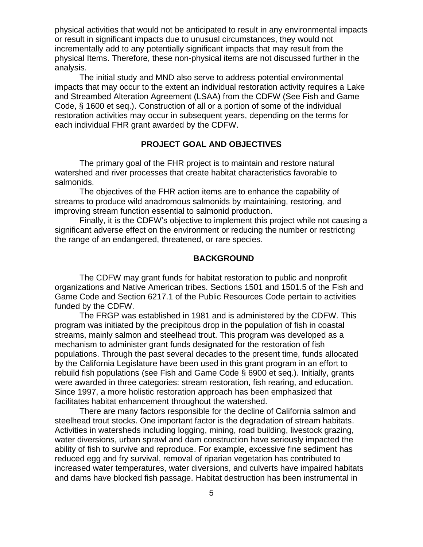physical activities that would not be anticipated to result in any environmental impacts or result in significant impacts due to unusual circumstances, they would not incrementally add to any potentially significant impacts that may result from the physical Items. Therefore, these non-physical items are not discussed further in the analysis.

The initial study and MND also serve to address potential environmental impacts that may occur to the extent an individual restoration activity requires a Lake and Streambed Alteration Agreement (LSAA) from the CDFW (See Fish and Game Code, § 1600 et seq.). Construction of all or a portion of some of the individual restoration activities may occur in subsequent years, depending on the terms for each individual FHR grant awarded by the CDFW.

## **PROJECT GOAL AND OBJECTIVES**

The primary goal of the FHR project is to maintain and restore natural watershed and river processes that create habitat characteristics favorable to salmonids.

The objectives of the FHR action items are to enhance the capability of streams to produce wild anadromous salmonids by maintaining, restoring, and improving stream function essential to salmonid production.

Finally, it is the CDFW's objective to implement this project while not causing a significant adverse effect on the environment or reducing the number or restricting the range of an endangered, threatened, or rare species.

## **BACKGROUND**

The CDFW may grant funds for habitat restoration to public and nonprofit organizations and Native American tribes. Sections 1501 and 1501.5 of the Fish and Game Code and Section 6217.1 of the Public Resources Code pertain to activities funded by the CDFW.

The FRGP was established in 1981 and is administered by the CDFW. This program was initiated by the precipitous drop in the population of fish in coastal streams, mainly salmon and steelhead trout. This program was developed as a mechanism to administer grant funds designated for the restoration of fish populations. Through the past several decades to the present time, funds allocated by the California Legislature have been used in this grant program in an effort to rebuild fish populations (see Fish and Game Code § 6900 et seq.). Initially, grants were awarded in three categories: stream restoration, fish rearing, and education. Since 1997, a more holistic restoration approach has been emphasized that facilitates habitat enhancement throughout the watershed.

There are many factors responsible for the decline of California salmon and steelhead trout stocks. One important factor is the degradation of stream habitats. Activities in watersheds including logging, mining, road building, livestock grazing, water diversions, urban sprawl and dam construction have seriously impacted the ability of fish to survive and reproduce. For example, excessive fine sediment has reduced egg and fry survival, removal of riparian vegetation has contributed to increased water temperatures, water diversions, and culverts have impaired habitats and dams have blocked fish passage. Habitat destruction has been instrumental in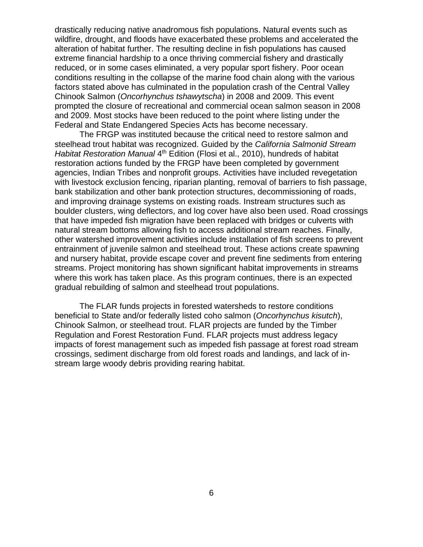drastically reducing native anadromous fish populations. Natural events such as wildfire, drought, and floods have exacerbated these problems and accelerated the alteration of habitat further. The resulting decline in fish populations has caused extreme financial hardship to a once thriving commercial fishery and drastically reduced, or in some cases eliminated, a very popular sport fishery. Poor ocean conditions resulting in the collapse of the marine food chain along with the various factors stated above has culminated in the population crash of the Central Valley Chinook Salmon (*Oncorhynchus tshawytscha*) in 2008 and 2009. This event prompted the closure of recreational and commercial ocean salmon season in 2008 and 2009. Most stocks have been reduced to the point where listing under the Federal and State Endangered Species Acts has become necessary.

The FRGP was instituted because the critical need to restore salmon and steelhead trout habitat was recognized. Guided by the *California Salmonid Stream*  Habitat Restoration Manual 4<sup>th</sup> Edition (Flosi et al., 2010), hundreds of habitat restoration actions funded by the FRGP have been completed by government agencies, Indian Tribes and nonprofit groups. Activities have included revegetation with livestock exclusion fencing, riparian planting, removal of barriers to fish passage, bank stabilization and other bank protection structures, decommissioning of roads, and improving drainage systems on existing roads. Instream structures such as boulder clusters, wing deflectors, and log cover have also been used. Road crossings that have impeded fish migration have been replaced with bridges or culverts with natural stream bottoms allowing fish to access additional stream reaches. Finally, other watershed improvement activities include installation of fish screens to prevent entrainment of juvenile salmon and steelhead trout. These actions create spawning and nursery habitat, provide escape cover and prevent fine sediments from entering streams. Project monitoring has shown significant habitat improvements in streams where this work has taken place. As this program continues, there is an expected gradual rebuilding of salmon and steelhead trout populations.

The FLAR funds projects in forested watersheds to restore conditions beneficial to State and/or federally listed coho salmon (*Oncorhynchus kisutch*), Chinook Salmon, or steelhead trout. FLAR projects are funded by the Timber Regulation and Forest Restoration Fund. FLAR projects must address legacy impacts of forest management such as impeded fish passage at forest road stream crossings, sediment discharge from old forest roads and landings, and lack of instream large woody debris providing rearing habitat.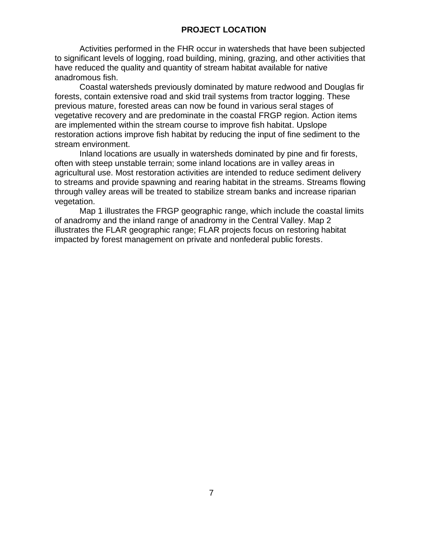# **PROJECT LOCATION**

Activities performed in the FHR occur in watersheds that have been subjected to significant levels of logging, road building, mining, grazing, and other activities that have reduced the quality and quantity of stream habitat available for native anadromous fish.

Coastal watersheds previously dominated by mature redwood and Douglas fir forests, contain extensive road and skid trail systems from tractor logging. These previous mature, forested areas can now be found in various seral stages of vegetative recovery and are predominate in the coastal FRGP region. Action items are implemented within the stream course to improve fish habitat. Upslope restoration actions improve fish habitat by reducing the input of fine sediment to the stream environment.

Inland locations are usually in watersheds dominated by pine and fir forests, often with steep unstable terrain; some inland locations are in valley areas in agricultural use. Most restoration activities are intended to reduce sediment delivery to streams and provide spawning and rearing habitat in the streams. Streams flowing through valley areas will be treated to stabilize stream banks and increase riparian vegetation.

Map 1 illustrates the FRGP geographic range, which include the coastal limits of anadromy and the inland range of anadromy in the Central Valley. Map 2 illustrates the FLAR geographic range; FLAR projects focus on restoring habitat impacted by forest management on private and nonfederal public forests.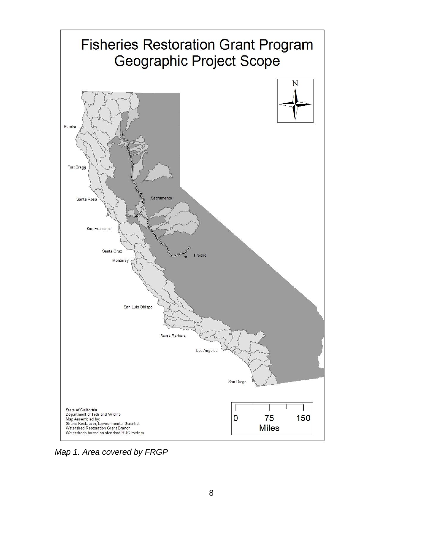

*Map 1. Area covered by FRGP*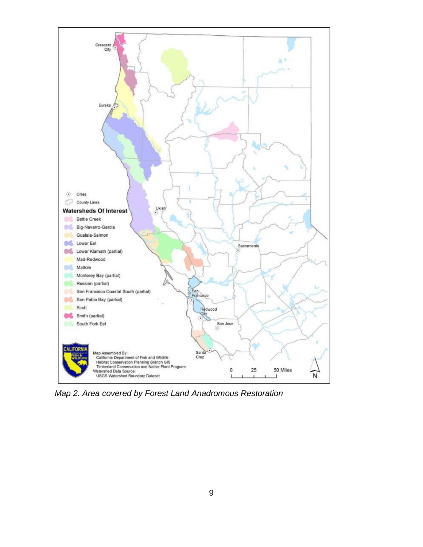

*Map 2. Area covered by Forest Land Anadromous Restoration*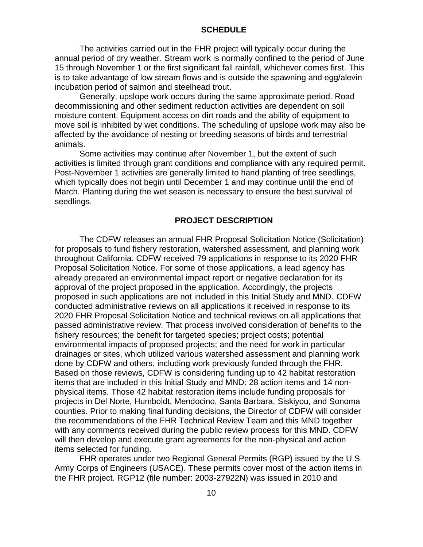#### **SCHEDULE**

The activities carried out in the FHR project will typically occur during the annual period of dry weather. Stream work is normally confined to the period of June 15 through November 1 or the first significant fall rainfall, whichever comes first. This is to take advantage of low stream flows and is outside the spawning and egg/alevin incubation period of salmon and steelhead trout.

Generally, upslope work occurs during the same approximate period. Road decommissioning and other sediment reduction activities are dependent on soil moisture content. Equipment access on dirt roads and the ability of equipment to move soil is inhibited by wet conditions. The scheduling of upslope work may also be affected by the avoidance of nesting or breeding seasons of birds and terrestrial animals.

Some activities may continue after November 1, but the extent of such activities is limited through grant conditions and compliance with any required permit. Post-November 1 activities are generally limited to hand planting of tree seedlings, which typically does not begin until December 1 and may continue until the end of March. Planting during the wet season is necessary to ensure the best survival of seedlings.

#### **PROJECT DESCRIPTION**

The CDFW releases an annual FHR Proposal Solicitation Notice (Solicitation) for proposals to fund fishery restoration, watershed assessment, and planning work throughout California. CDFW received 79 applications in response to its 2020 FHR Proposal Solicitation Notice. For some of those applications, a lead agency has already prepared an environmental impact report or negative declaration for its approval of the project proposed in the application. Accordingly, the projects proposed in such applications are not included in this Initial Study and MND. CDFW conducted administrative reviews on all applications it received in response to its 2020 FHR Proposal Solicitation Notice and technical reviews on all applications that passed administrative review. That process involved consideration of benefits to the fishery resources; the benefit for targeted species; project costs; potential environmental impacts of proposed projects; and the need for work in particular drainages or sites, which utilized various watershed assessment and planning work done by CDFW and others, including work previously funded through the FHR. Based on those reviews, CDFW is considering funding up to 42 habitat restoration items that are included in this Initial Study and MND: 28 action items and 14 nonphysical items. Those 42 habitat restoration items include funding proposals for projects in Del Norte, Humboldt, Mendocino, Santa Barbara, Siskiyou, and Sonoma counties. Prior to making final funding decisions, the Director of CDFW will consider the recommendations of the FHR Technical Review Team and this MND together with any comments received during the public review process for this MND. CDFW will then develop and execute grant agreements for the non-physical and action items selected for funding.

FHR operates under two Regional General Permits (RGP) issued by the U.S. Army Corps of Engineers (USACE). These permits cover most of the action items in the FHR project. RGP12 (file number: 2003-27922N) was issued in 2010 and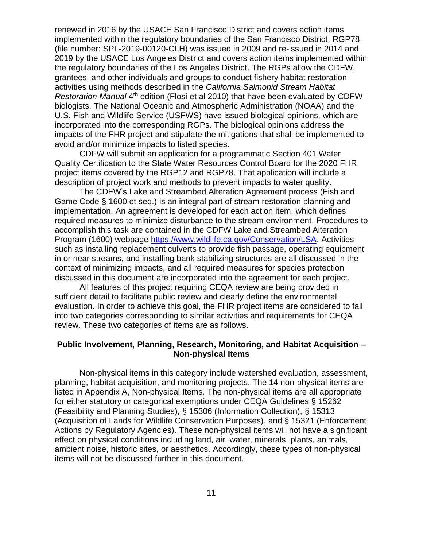renewed in 2016 by the USACE San Francisco District and covers action items implemented within the regulatory boundaries of the San Francisco District. RGP78 (file number: SPL-2019-00120-CLH) was issued in 2009 and re-issued in 2014 and 2019 by the USACE Los Angeles District and covers action items implemented within the regulatory boundaries of the Los Angeles District. The RGPs allow the CDFW, grantees, and other individuals and groups to conduct fishery habitat restoration activities using methods described in the *California Salmonid Stream Habitat*  Restoration Manual 4<sup>th</sup> edition (Flosi et al 2010) that have been evaluated by CDFW biologists. The National Oceanic and Atmospheric Administration (NOAA) and the U.S. Fish and Wildlife Service (USFWS) have issued biological opinions, which are incorporated into the corresponding RGPs. The biological opinions address the impacts of the FHR project and stipulate the mitigations that shall be implemented to avoid and/or minimize impacts to listed species.

CDFW will submit an application for a programmatic Section 401 Water Quality Certification to the State Water Resources Control Board for the 2020 FHR project items covered by the RGP12 and RGP78. That application will include a description of project work and methods to prevent impacts to water quality.

The CDFW's Lake and Streambed Alteration Agreement process (Fish and Game Code § 1600 et seq.) is an integral part of stream restoration planning and implementation. An agreement is developed for each action item, which defines required measures to minimize disturbance to the stream environment. Procedures to accomplish this task are contained in the CDFW Lake and Streambed Alteration Program (1600) webpage [https://www.wildlife.ca.gov/Conservation/LSA.](https://www.wildlife.ca.gov/Conservation/LSA) Activities such as installing replacement culverts to provide fish passage, operating equipment in or near streams, and installing bank stabilizing structures are all discussed in the context of minimizing impacts, and all required measures for species protection discussed in this document are incorporated into the agreement for each project.

All features of this project requiring CEQA review are being provided in sufficient detail to facilitate public review and clearly define the environmental evaluation. In order to achieve this goal, the FHR project items are considered to fall into two categories corresponding to similar activities and requirements for CEQA review. These two categories of items are as follows.

## **Public Involvement, Planning, Research, Monitoring, and Habitat Acquisition – Non-physical Items**

Non-physical items in this category include watershed evaluation, assessment, planning, habitat acquisition, and monitoring projects. The 14 non-physical items are listed in Appendix A, Non-physical Items. The non-physical items are all appropriate for either statutory or categorical exemptions under CEQA Guidelines § 15262 (Feasibility and Planning Studies), § 15306 (Information Collection), § 15313 (Acquisition of Lands for Wildlife Conservation Purposes), and § 15321 (Enforcement Actions by Regulatory Agencies). These non-physical items will not have a significant effect on physical conditions including land, air, water, minerals, plants, animals, ambient noise, historic sites, or aesthetics. Accordingly, these types of non-physical items will not be discussed further in this document.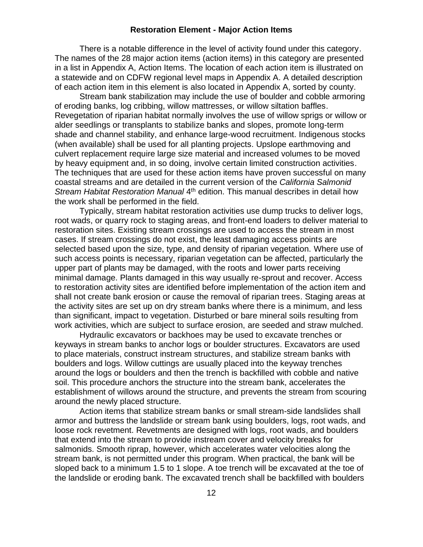#### **Restoration Element - Major Action Items**

There is a notable difference in the level of activity found under this category. The names of the 28 major action items (action items) in this category are presented in a list in Appendix A, Action Items. The location of each action item is illustrated on a statewide and on CDFW regional level maps in Appendix A. A detailed description of each action item in this element is also located in Appendix A, sorted by county.

Stream bank stabilization may include the use of boulder and cobble armoring of eroding banks, log cribbing, willow mattresses, or willow siltation baffles. Revegetation of riparian habitat normally involves the use of willow sprigs or willow or alder seedlings or transplants to stabilize banks and slopes, promote long-term shade and channel stability, and enhance large-wood recruitment. Indigenous stocks (when available) shall be used for all planting projects. Upslope earthmoving and culvert replacement require large size material and increased volumes to be moved by heavy equipment and, in so doing, involve certain limited construction activities. The techniques that are used for these action items have proven successful on many coastal streams and are detailed in the current version of the *California Salmonid*  Stream Habitat Restoration Manual 4<sup>th</sup> edition. This manual describes in detail how the work shall be performed in the field.

Typically, stream habitat restoration activities use dump trucks to deliver logs, root wads, or quarry rock to staging areas, and front-end loaders to deliver material to restoration sites. Existing stream crossings are used to access the stream in most cases. If stream crossings do not exist, the least damaging access points are selected based upon the size, type, and density of riparian vegetation. Where use of such access points is necessary, riparian vegetation can be affected, particularly the upper part of plants may be damaged, with the roots and lower parts receiving minimal damage. Plants damaged in this way usually re-sprout and recover. Access to restoration activity sites are identified before implementation of the action item and shall not create bank erosion or cause the removal of riparian trees. Staging areas at the activity sites are set up on dry stream banks where there is a minimum, and less than significant, impact to vegetation. Disturbed or bare mineral soils resulting from work activities, which are subject to surface erosion, are seeded and straw mulched.

Hydraulic excavators or backhoes may be used to excavate trenches or keyways in stream banks to anchor logs or boulder structures. Excavators are used to place materials, construct instream structures, and stabilize stream banks with boulders and logs. Willow cuttings are usually placed into the keyway trenches around the logs or boulders and then the trench is backfilled with cobble and native soil. This procedure anchors the structure into the stream bank, accelerates the establishment of willows around the structure, and prevents the stream from scouring around the newly placed structure.

Action items that stabilize stream banks or small stream-side landslides shall armor and buttress the landslide or stream bank using boulders, logs, root wads, and loose rock revetment. Revetments are designed with logs, root wads, and boulders that extend into the stream to provide instream cover and velocity breaks for salmonids. Smooth riprap, however, which accelerates water velocities along the stream bank, is not permitted under this program. When practical, the bank will be sloped back to a minimum 1.5 to 1 slope. A toe trench will be excavated at the toe of the landslide or eroding bank. The excavated trench shall be backfilled with boulders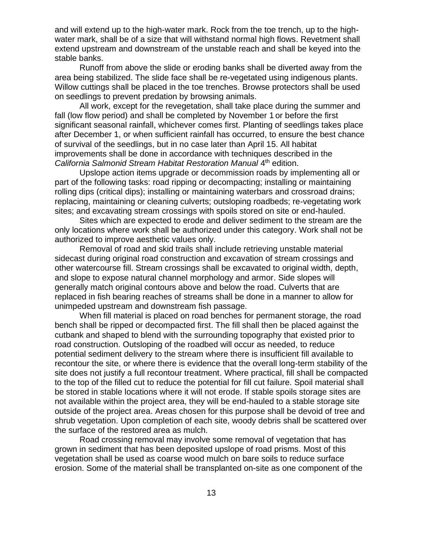and will extend up to the high-water mark. Rock from the toe trench, up to the highwater mark, shall be of a size that will withstand normal high flows. Revetment shall extend upstream and downstream of the unstable reach and shall be keyed into the stable banks.

Runoff from above the slide or eroding banks shall be diverted away from the area being stabilized. The slide face shall be re-vegetated using indigenous plants. Willow cuttings shall be placed in the toe trenches. Browse protectors shall be used on seedlings to prevent predation by browsing animals.

All work, except for the revegetation, shall take place during the summer and fall (low flow period) and shall be completed by November 1 or before the first significant seasonal rainfall, whichever comes first. Planting of seedlings takes place after December 1, or when sufficient rainfall has occurred, to ensure the best chance of survival of the seedlings, but in no case later than April 15. All habitat improvements shall be done in accordance with techniques described in the California Salmonid Stream Habitat Restoration Manual 4<sup>th</sup> edition.

Upslope action items upgrade or decommission roads by implementing all or part of the following tasks: road ripping or decompacting; installing or maintaining rolling dips (critical dips); installing or maintaining waterbars and crossroad drains; replacing, maintaining or cleaning culverts; outsloping roadbeds; re-vegetating work sites; and excavating stream crossings with spoils stored on site or end-hauled.

Sites which are expected to erode and deliver sediment to the stream are the only locations where work shall be authorized under this category. Work shall not be authorized to improve aesthetic values only.

Removal of road and skid trails shall include retrieving unstable material sidecast during original road construction and excavation of stream crossings and other watercourse fill. Stream crossings shall be excavated to original width, depth, and slope to expose natural channel morphology and armor. Side slopes will generally match original contours above and below the road. Culverts that are replaced in fish bearing reaches of streams shall be done in a manner to allow for unimpeded upstream and downstream fish passage.

When fill material is placed on road benches for permanent storage, the road bench shall be ripped or decompacted first. The fill shall then be placed against the cutbank and shaped to blend with the surrounding topography that existed prior to road construction. Outsloping of the roadbed will occur as needed, to reduce potential sediment delivery to the stream where there is insufficient fill available to recontour the site, or where there is evidence that the overall long-term stability of the site does not justify a full recontour treatment. Where practical, fill shall be compacted to the top of the filled cut to reduce the potential for fill cut failure. Spoil material shall be stored in stable locations where it will not erode. If stable spoils storage sites are not available within the project area, they will be end-hauled to a stable storage site outside of the project area. Areas chosen for this purpose shall be devoid of tree and shrub vegetation. Upon completion of each site, woody debris shall be scattered over the surface of the restored area as mulch.

Road crossing removal may involve some removal of vegetation that has grown in sediment that has been deposited upslope of road prisms. Most of this vegetation shall be used as coarse wood mulch on bare soils to reduce surface erosion. Some of the material shall be transplanted on-site as one component of the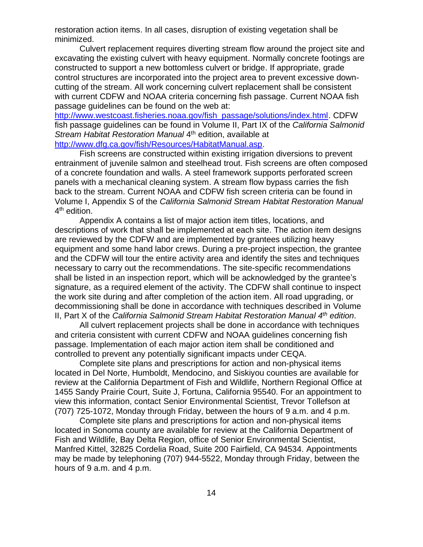restoration action items. In all cases, disruption of existing vegetation shall be minimized.

Culvert replacement requires diverting stream flow around the project site and excavating the existing culvert with heavy equipment. Normally concrete footings are constructed to support a new bottomless culvert or bridge. If appropriate, grade control structures are incorporated into the project area to prevent excessive downcutting of the stream. All work concerning culvert replacement shall be consistent with current CDFW and NOAA criteria concerning fish passage. Current NOAA fish passage guidelines can be found on the web at:

[http://www.westcoast.fisheries.noaa.gov/fish\\_passage/solutions/index.html.](http://www.westcoast.fisheries.noaa.gov/fish_passage/solutions/index.html) CDFW fish passage guidelines can be found in Volume II, Part IX of the *California Salmonid*  Stream Habitat Restoration Manual 4<sup>th</sup> edition, available at [http://www.dfg.ca.gov/fish/Resources/HabitatManual.asp.](http://www.dfg.ca.gov/fish/Resources/HabitatManual.asp)

Fish screens are constructed within existing irrigation diversions to prevent entrainment of juvenile salmon and steelhead trout. Fish screens are often composed of a concrete foundation and walls. A steel framework supports perforated screen panels with a mechanical cleaning system. A stream flow bypass carries the fish back to the stream. Current NOAA and CDFW fish screen criteria can be found in Volume I, Appendix S of the *California Salmonid Stream Habitat Restoration Manual*

4<sup>th</sup> edition. Appendix A contains a list of major action item titles, locations, and descriptions of work that shall be implemented at each site. The action item designs are reviewed by the CDFW and are implemented by grantees utilizing heavy equipment and some hand labor crews. During a pre-project inspection, the grantee

and the CDFW will tour the entire activity area and identify the sites and techniques necessary to carry out the recommendations. The site-specific recommendations shall be listed in an inspection report, which will be acknowledged by the grantee's signature, as a required element of the activity. The CDFW shall continue to inspect the work site during and after completion of the action item. All road upgrading, or decommissioning shall be done in accordance with techniques described in Volume II, Part X of the *California Salmonid Stream Habitat Restoration Manual 4 th edition*.

All culvert replacement projects shall be done in accordance with techniques and criteria consistent with current CDFW and NOAA guidelines concerning fish passage. Implementation of each major action item shall be conditioned and controlled to prevent any potentially significant impacts under CEQA.

Complete site plans and prescriptions for action and non-physical items located in Del Norte, Humboldt, Mendocino, and Siskiyou counties are available for review at the California Department of Fish and Wildlife, Northern Regional Office at 1455 Sandy Prairie Court, Suite J, Fortuna, California 95540. For an appointment to view this information, contact Senior Environmental Scientist, Trevor Tollefson at (707) 725-1072, Monday through Friday, between the hours of 9 a.m. and 4 p.m.

Complete site plans and prescriptions for action and non-physical items located in Sonoma county are available for review at the California Department of Fish and Wildlife, Bay Delta Region, office of Senior Environmental Scientist, Manfred Kittel, 32825 Cordelia Road, Suite 200 Fairfield, CA 94534. Appointments may be made by telephoning (707) 944-5522, Monday through Friday, between the hours of 9 a.m. and 4 p.m.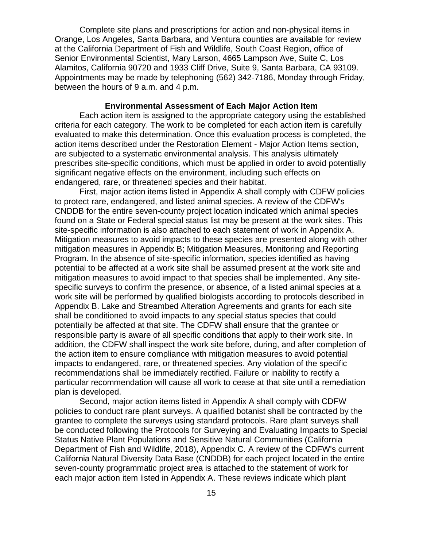Complete site plans and prescriptions for action and non-physical items in Orange, Los Angeles, Santa Barbara, and Ventura counties are available for review at the California Department of Fish and Wildlife, South Coast Region, office of Senior Environmental Scientist, Mary Larson, 4665 Lampson Ave, Suite C, Los Alamitos, California 90720 and 1933 Cliff Drive, Suite 9, Santa Barbara, CA 93109. Appointments may be made by telephoning (562) 342-7186, Monday through Friday, between the hours of 9 a.m. and 4 p.m.

#### **Environmental Assessment of Each Major Action Item**

Each action item is assigned to the appropriate category using the established criteria for each category. The work to be completed for each action item is carefully evaluated to make this determination. Once this evaluation process is completed, the action items described under the Restoration Element - Major Action Items section, are subjected to a systematic environmental analysis. This analysis ultimately prescribes site-specific conditions, which must be applied in order to avoid potentially significant negative effects on the environment, including such effects on endangered, rare, or threatened species and their habitat.

First, major action items listed in Appendix A shall comply with CDFW policies to protect rare, endangered, and listed animal species. A review of the CDFW's CNDDB for the entire seven-county project location indicated which animal species found on a State or Federal special status list may be present at the work sites. This site-specific information is also attached to each statement of work in Appendix A. Mitigation measures to avoid impacts to these species are presented along with other mitigation measures in Appendix B; Mitigation Measures, Monitoring and Reporting Program. In the absence of site-specific information, species identified as having potential to be affected at a work site shall be assumed present at the work site and mitigation measures to avoid impact to that species shall be implemented. Any sitespecific surveys to confirm the presence, or absence, of a listed animal species at a work site will be performed by qualified biologists according to protocols described in Appendix B. Lake and Streambed Alteration Agreements and grants for each site shall be conditioned to avoid impacts to any special status species that could potentially be affected at that site. The CDFW shall ensure that the grantee or responsible party is aware of all specific conditions that apply to their work site. In addition, the CDFW shall inspect the work site before, during, and after completion of the action item to ensure compliance with mitigation measures to avoid potential impacts to endangered, rare, or threatened species. Any violation of the specific recommendations shall be immediately rectified. Failure or inability to rectify a particular recommendation will cause all work to cease at that site until a remediation plan is developed.

Second, major action items listed in Appendix A shall comply with CDFW policies to conduct rare plant surveys. A qualified botanist shall be contracted by the grantee to complete the surveys using standard protocols. Rare plant surveys shall be conducted following the Protocols for Surveying and Evaluating Impacts to Special Status Native Plant Populations and Sensitive Natural Communities (California Department of Fish and Wildlife, 2018), Appendix C. A review of the CDFW's current California Natural Diversity Data Base (CNDDB) for each project located in the entire seven-county programmatic project area is attached to the statement of work for each major action item listed in Appendix A. These reviews indicate which plant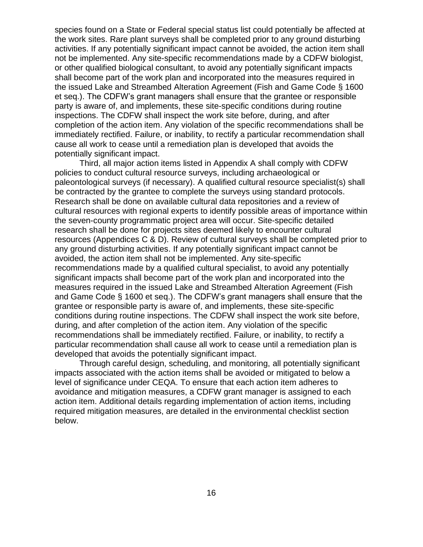species found on a State or Federal special status list could potentially be affected at the work sites. Rare plant surveys shall be completed prior to any ground disturbing activities. If any potentially significant impact cannot be avoided, the action item shall not be implemented. Any site-specific recommendations made by a CDFW biologist, or other qualified biological consultant, to avoid any potentially significant impacts shall become part of the work plan and incorporated into the measures required in the issued Lake and Streambed Alteration Agreement (Fish and Game Code § 1600 et seq.). The CDFW's grant managers shall ensure that the grantee or responsible party is aware of, and implements, these site-specific conditions during routine inspections. The CDFW shall inspect the work site before, during, and after completion of the action item. Any violation of the specific recommendations shall be immediately rectified. Failure, or inability, to rectify a particular recommendation shall cause all work to cease until a remediation plan is developed that avoids the potentially significant impact.

Third, all major action items listed in Appendix A shall comply with CDFW policies to conduct cultural resource surveys, including archaeological or paleontological surveys (if necessary). A qualified cultural resource specialist(s) shall be contracted by the grantee to complete the surveys using standard protocols. Research shall be done on available cultural data repositories and a review of cultural resources with regional experts to identify possible areas of importance within the seven-county programmatic project area will occur. Site-specific detailed research shall be done for projects sites deemed likely to encounter cultural resources (Appendices C & D). Review of cultural surveys shall be completed prior to any ground disturbing activities. If any potentially significant impact cannot be avoided, the action item shall not be implemented. Any site-specific recommendations made by a qualified cultural specialist, to avoid any potentially significant impacts shall become part of the work plan and incorporated into the measures required in the issued Lake and Streambed Alteration Agreement (Fish and Game Code § 1600 et seq.). The CDFW's grant managers shall ensure that the grantee or responsible party is aware of, and implements, these site-specific conditions during routine inspections. The CDFW shall inspect the work site before, during, and after completion of the action item. Any violation of the specific recommendations shall be immediately rectified. Failure, or inability, to rectify a particular recommendation shall cause all work to cease until a remediation plan is developed that avoids the potentially significant impact.

Through careful design, scheduling, and monitoring, all potentially significant impacts associated with the action items shall be avoided or mitigated to below a level of significance under CEQA. To ensure that each action item adheres to avoidance and mitigation measures, a CDFW grant manager is assigned to each action item. Additional details regarding implementation of action items, including required mitigation measures, are detailed in the environmental checklist section below.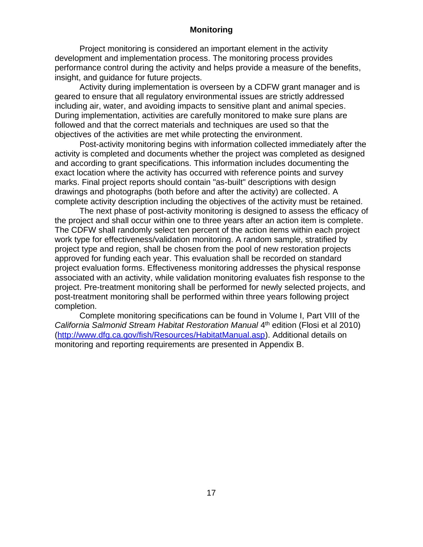## **Monitoring**

Project monitoring is considered an important element in the activity development and implementation process. The monitoring process provides performance control during the activity and helps provide a measure of the benefits, insight, and guidance for future projects.

Activity during implementation is overseen by a CDFW grant manager and is geared to ensure that all regulatory environmental issues are strictly addressed including air, water, and avoiding impacts to sensitive plant and animal species. During implementation, activities are carefully monitored to make sure plans are followed and that the correct materials and techniques are used so that the objectives of the activities are met while protecting the environment.

Post-activity monitoring begins with information collected immediately after the activity is completed and documents whether the project was completed as designed and according to grant specifications. This information includes documenting the exact location where the activity has occurred with reference points and survey marks. Final project reports should contain "as-built" descriptions with design drawings and photographs (both before and after the activity) are collected. A complete activity description including the objectives of the activity must be retained.

The next phase of post-activity monitoring is designed to assess the efficacy of the project and shall occur within one to three years after an action item is complete. The CDFW shall randomly select ten percent of the action items within each project work type for effectiveness/validation monitoring. A random sample, stratified by project type and region, shall be chosen from the pool of new restoration projects approved for funding each year. This evaluation shall be recorded on standard project evaluation forms. Effectiveness monitoring addresses the physical response associated with an activity, while validation monitoring evaluates fish response to the project. Pre-treatment monitoring shall be performed for newly selected projects, and post-treatment monitoring shall be performed within three years following project completion.

Complete monitoring specifications can be found in Volume I, Part VIII of the California Salmonid Stream Habitat Restoration Manual 4<sup>th</sup> edition (Flosi et al 2010) [\(http://www.dfg.ca.gov/fish/Resources/HabitatManual.asp\)](http://www.dfg.ca.gov/fish/Resources/HabitatManual.asp). Additional details on monitoring and reporting requirements are presented in Appendix B.